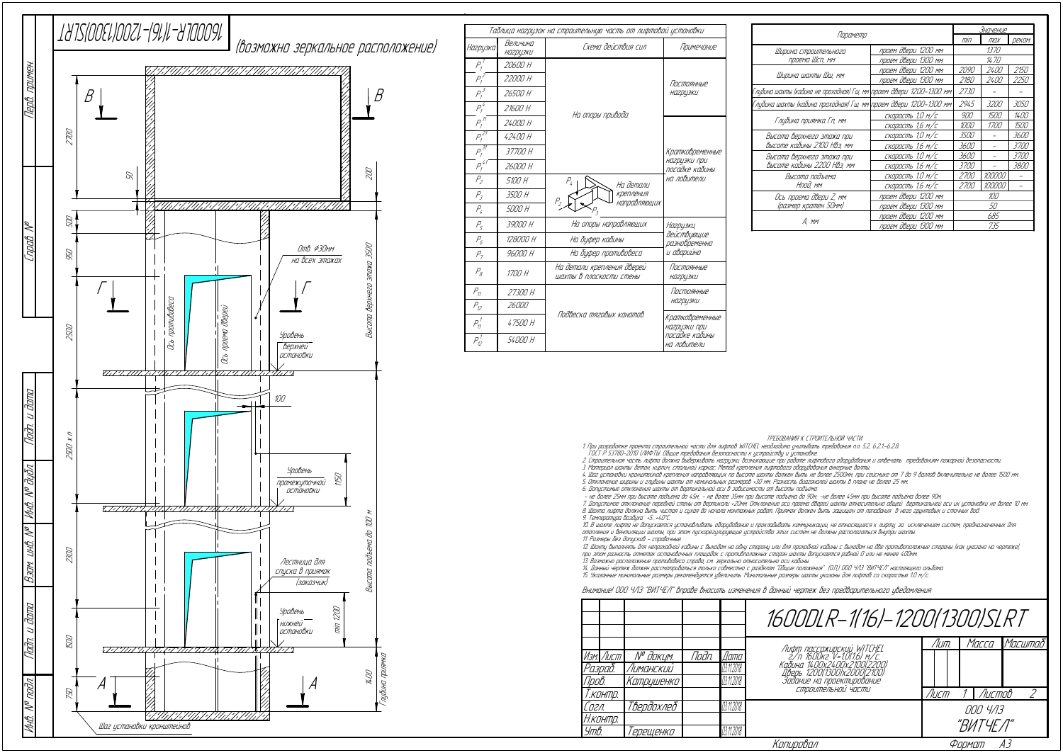| Параметр                                                         |                     |             | Значение    |             |  |
|------------------------------------------------------------------|---------------------|-------------|-------------|-------------|--|
|                                                                  |                     |             | max         | реком.      |  |
| Ширина строительного                                             | проем двери 1200 мм | 1370        |             |             |  |
| проема Шсп, мм                                                   | проем двери 1300 мм | 1470        |             |             |  |
| Ширина шахты Шш, мм                                              | проем двери 1200 мм | 2090        | <i>2400</i> | 2150        |  |
|                                                                  | проем двери 1300 мм | 2180        | <i>2400</i> | 2250        |  |
| бина шахты (кабина не проходная) Гш, мм\проем двери 1200–1300 мм |                     | 2730        |             |             |  |
| бина шахты (кабина проходная) Гш, мм\проем двери 1200–1300 мм    |                     | 2945        | 3200        | 3050        |  |
|                                                                  | скорость 1,0 м/с    | 900         | 1500        | 1400        |  |
| Глубина приямка Гп, мм                                           | скорость 1,6 м/с    | 1000        | <i>1700</i> | 1500        |  |
| Высота верхнего этажа при                                        | скорость 1,0 м/с    | 3500        |             | <i>3600</i> |  |
| высоте кабины 2100 Нвэ, мм                                       | скорость 1,6 м/с    | 3600        |             | 3700        |  |
| Высота верхнего этажа при                                        | скорость 1,0 м/с    | 3600        |             | <i>3700</i> |  |
| высоте кабины 2200 НВэ, мм                                       | скорость 1,6 м/с    | <i>3700</i> |             | 3800        |  |
| Высота подъема                                                   | скорость 1,0 м/с    | 2700        | 100000      |             |  |
| Нпод, мм                                                         | скорость 1,6 м/с    | 2700        | 100000      |             |  |
| Ось проема двери Z, мм                                           | проем двери 1200 мм | 100         |             |             |  |
| (размер кратен 50мм)                                             | проем двери 1300 мм | 50          |             |             |  |
|                                                                  | проем двери 1200 мм | 685         |             |             |  |
| A, mm                                                            | проем двери 1300 мм | 735         |             |             |  |

ТРЕБОВАНИЯ К СТРОИТЕЛЬНОЙ ЧАСТИ

1. При разработке проекта строительной части для лифтов WITCHEL необходимо учитывать требования <sup>п</sup>.п. 5.2, 6.2.1.-6.2.8. ГОСТ Р 53780-2010 (ЛИФТЫ. Общие требования безопасности <sup>к</sup> устройству <sup>и</sup> установке.

2. Строительная часть лифта должна выдерживать нагрузки, возникающие при работе лифтового оборудования <sup>и</sup> отвечать требованиям пожарной безопасности.

3. Материал шахты: бетон, кирпич, стальной каркас. Метод крепления лифтового оборудования анкерные болты. 4. Шаг установки кронштейнов крепления направляющих по высоте шахты должен быть не более 2500мм, при сейсмике от 7 до 9 баллов включительно не более 1500 мм.

5. Отклонение ширины <sup>и</sup> глубины шахты от номинальных размеров +30 мм. Разность диагоналей шахты в плане не более 25 мм.

6. Допустимые отклонения шахты от вертикальной оси в зависимости от высоты подъёма:<br>– не более 25мм при высоте подъёма до 45м; – не более 35мм при высоте подъёма до 90м; –не более 45мм при высоте подъёма более 90м

7. Допустимое отклонение передней стены от вертикали +20мм. Отклонение оси проема дверей шахты относительно общей вертикальной оси их установки не более 10 мм. 8. Шахта лифта должна быть чистая <sup>и</sup> сухая до начала монтажных работ. Приямок должен быть защищен от попадания в него грунтовых <sup>и</sup> сточных вод.

9. Температура воздуха +5…+40°С.

|                 |                             | Таблица нагрузок на строительную часть от лифтовой установки |                                 |                          |
|-----------------|-----------------------------|--------------------------------------------------------------|---------------------------------|--------------------------|
| Нагрузка        | Величина<br><b>НА2РЦЗКИ</b> | Схема действия сил                                           | Примечание                      | Ширина                   |
| $P_1^{\prime}$  | 20600 H                     |                                                              |                                 | npo                      |
| $P_1^2$         | 22000 H                     |                                                              | Постоянные                      | Ширина                   |
| $P_1^3$         | 26500 H                     |                                                              | <b>НА2ДЦЗКИ</b>                 | Глубина шахты (к         |
| $P_1^4$         | 21600 H                     |                                                              |                                 | Глцбина шахты (          |
| $\frac{1}{P_1}$ | 24000 H                     | На опоры привода                                             |                                 | Глубина                  |
| $P_1^{27}$      | 42400 H                     |                                                              |                                 | Высота вер               |
| $P_1^{31}$      | 37700 H                     |                                                              | Кратковременные                 | высоте кас<br>Высота вер |
| $P_1^{\,41}$    | 26000 H                     |                                                              | нагрузки при<br>посадке кабины  | высоте ка                |
| $P_{2}$         | 5100 H                      | $P_{\!\scriptscriptstyle L}$<br>На детали                    | на ловители                     | Высс                     |
| $P_3$           | 3500 H                      | Крепления<br>$P_{2}$                                         |                                 | Ось про                  |
| $P_4$           | 5000 H                      | направляющих<br>$P_{\rm 3}$                                  |                                 | (размер                  |
| P <sub>5</sub>  | 39000 H                     | На опоры направляющих                                        | Нагрузки,                       |                          |
| $P_{6}$         | 128000 H                    | На буфер кабины                                              | действующие<br>разновременно    |                          |
| P <sub>7</sub>  | 96000 H                     | На буфер противовеса                                         | и аварийно                      |                          |
| $P_{\beta}$     | 1700 H                      | На детали крепления дверей<br>шахты в плоскости стены        | Постоянные<br><b>НО2ДЦЗКИ</b>   |                          |
| $P_{11}$        | 27300 H                     |                                                              | Постоянные                      |                          |
| $P_{12}$        | 26000                       | Подвеска тяговых канатов                                     | НО2ДЦЗКИ                        |                          |
| $P_{11}^{\; 7}$ | 47500 H                     |                                                              | Кратковременные<br>нагрузки при |                          |
| $P_{12}^{\,1}$  | 54000 H                     |                                                              | посадке кабины<br>на ловители   |                          |

10. В шахте лифта не допускается устанавливать оборудование <sup>и</sup> прокладывать коммуникации, не относящиеся <sup>к</sup> лифту, за исключением систем, предназначенных для отопления <sup>и</sup> вентиляции шахты, при этом пускорегулирующие устройства этих систем не должны располагаться внутри шахты. 11. Размеры без допусков - справочные.

| 1600DLR-1(16)-1200(1300)SLRT                                                                                                                           |                       |  |                 |  |
|--------------------------------------------------------------------------------------------------------------------------------------------------------|-----------------------|--|-----------------|--|
| Лифт пассажирский WITCHEL<br>2/п 1600кг V=1.0(1.6) м/с.<br>Кабина 14.00х24.00х2.100(2.200)<br>си се 1200(1300)x2000(2100)<br>Задание на проектирование | Лит.                  |  | Масса   Масштаб |  |
| СТРОИТЕЛЬНОИ ЧАСТИ                                                                                                                                     | <i>Nucmob</i><br>Лист |  |                 |  |
|                                                                                                                                                        | 000 4/13<br>"ВИТЧҒЛ"  |  |                 |  |
| Копировал                                                                                                                                              |                       |  |                 |  |

12. Шахту выполнять для непроходной кабины <sup>с</sup> выходом на одну сторону или для проходной кабины <sup>с</sup> выходом на две противоположные стороны (как указано на чертеже), при этом разность отметок остановочных площадок <sup>с</sup> противположных сторон шахты допускается равной 0 или не менее 400мм.

13. Возможно расположение противовеса справа, см. зеркально относительно оси кабины.

14. Данный чертеж должен рассматриваться только совместно <sup>с</sup> разделом "Общие положения" (О.П,) ООО ЧЛЗ "ВИТЧЕЛ" настоящего альбома. 15. Указанные минимальные размеры рекомендуется увеличить. Минимальные размеры шахты указаны для лифтов со скоростью 1.0 <sup>м</sup>/<sup>с</sup>.

Внимание! ООО ЧЛЗ "ВИТЧЕЛ" вправе вносить изменения в данный чертеж без предварительного уведомления

|               |            |            |            |                                                                                                  | 1600DLR-1(16)-1200(1300)SLR                                                                      |       |           |   |
|---------------|------------|------------|------------|--------------------------------------------------------------------------------------------------|--------------------------------------------------------------------------------------------------|-------|-----------|---|
|               |            |            |            |                                                                                                  |                                                                                                  | Лит.  | Масса     | M |
|               | Изм. Лист  | № докцм.   | Noðn.      | Дата                                                                                             | Лифт пассажирский WITCHEL<br>2/п 1600кг V=1.0(1.6) м/с.<br>Кадина 14.0.0x24.0.0x2.10.0.(2.2.0.0) |       |           |   |
|               | Разраб.    | Лиманский  |            | 03.11.2018                                                                                       |                                                                                                  |       |           |   |
| <u> Пров.</u> | Катрушенко |            | 03.11.2018 | . 2001 - 12001 1300 x 20001 2100)<br>Дверь 12001 1300 x 20001 2100)<br>Задание на проектирование |                                                                                                  |       |           |   |
|               | Г. КОНПО.  |            |            |                                                                                                  | СТООИТЕЛЬНОЙ ЧАСТИ                                                                               | /Іист | Листов    |   |
| Согл.         |            | Твердохлеб |            | 03.11.2018                                                                                       |                                                                                                  |       | 000 4/13  |   |
|               | Н.контр.   |            |            |                                                                                                  |                                                                                                  |       | "BUTYF A" |   |
| Утв.          |            | 'ерещенко  |            | 03.11.2018                                                                                       |                                                                                                  |       |           |   |